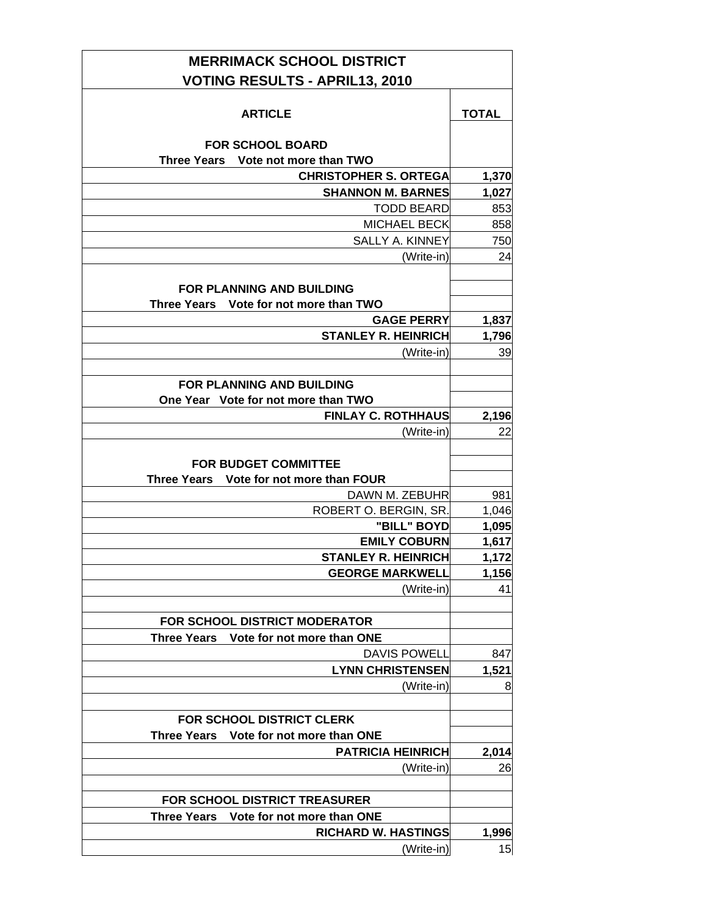| <b>MERRIMACK SCHOOL DISTRICT</b><br><b>VOTING RESULTS - APRIL13, 2010</b>  |              |
|----------------------------------------------------------------------------|--------------|
|                                                                            |              |
| <b>ARTICLE</b>                                                             | <b>TOTAL</b> |
| <b>FOR SCHOOL BOARD</b>                                                    |              |
| <b>Three Years</b><br>Vote not more than TWO                               |              |
| <b>CHRISTOPHER S. ORTEGA</b>                                               | 1,370        |
| <b>SHANNON M. BARNES</b>                                                   | 1,027        |
| <b>TODD BEARD</b>                                                          | 853          |
| <b>MICHAEL BECK</b>                                                        | 858          |
| <b>SALLY A. KINNEY</b>                                                     | 750          |
| (Write-in)                                                                 | 24           |
| <b>FOR PLANNING AND BUILDING</b><br>Three Years Vote for not more than TWO |              |
| <b>GAGE PERRY</b>                                                          | 1,837        |
| <b>STANLEY R. HEINRICH</b>                                                 | 1,796        |
| (Write-in)                                                                 | 39           |
|                                                                            |              |
| <b>FOR PLANNING AND BUILDING</b>                                           |              |
| One Year Vote for not more than TWO                                        |              |
| <b>FINLAY C. ROTHHAUS</b>                                                  | 2,196        |
| (Write-in)                                                                 | 22           |
| <b>FOR BUDGET COMMITTEE</b><br>Three Years Vote for not more than FOUR     |              |
| DAWN M. ZEBUHR                                                             | 981          |
| ROBERT O. BERGIN, SR.                                                      | 1,046        |
| "BILL" BOYD                                                                | 1,095        |
| <b>EMILY COBURN</b>                                                        | 1,617        |
| <b>STANLEY R. HEINRICH</b>                                                 | 1,172        |
| <b>GEORGE MARKWELL</b>                                                     | 1,156        |
| (Write-in)                                                                 | 41           |
|                                                                            |              |
| FOR SCHOOL DISTRICT MODERATOR                                              |              |
| <b>Three Years</b><br>Vote for not more than ONE                           |              |
| <b>DAVIS POWELL</b>                                                        | 847          |
| <b>LYNN CHRISTENSEN</b><br>(Write-in)                                      | 1,521<br>8   |
|                                                                            |              |
| <b>FOR SCHOOL DISTRICT CLERK</b>                                           |              |
| <b>Three Years</b><br>Vote for not more than ONE                           |              |
| <b>PATRICIA HEINRICH</b>                                                   | 2,014        |
| (Write-in)                                                                 | 26           |
|                                                                            |              |
| FOR SCHOOL DISTRICT TREASURER                                              |              |
| <b>Three Years</b><br>Vote for not more than ONE                           |              |
| <b>RICHARD W. HASTINGS</b>                                                 | 1,996        |
| (Write-in)                                                                 | 15           |